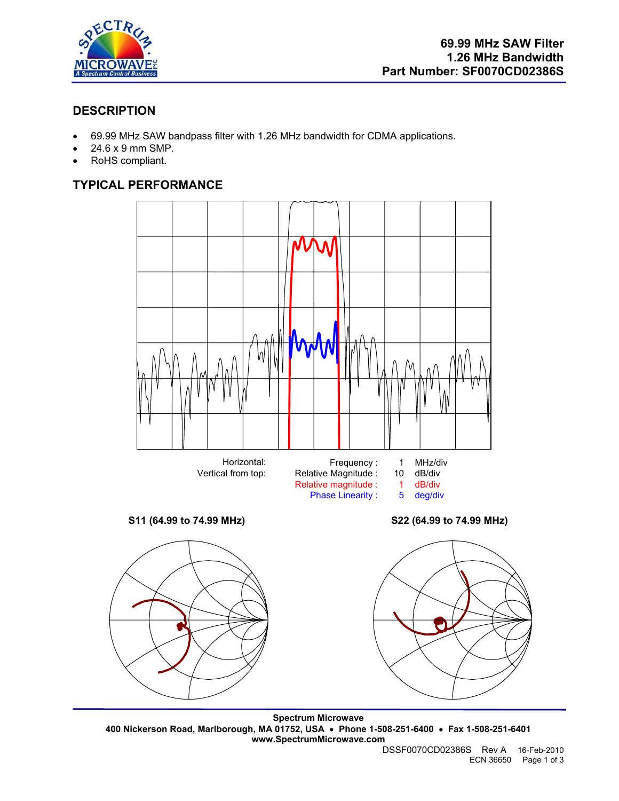

# **DESCRIPTION**

- 69.99 MHz SAW bandpass filter with 1.26 MHz bandwidth for CDMA applications.
- 24.6 x 9 mm SMP.
- RoHS compliant.

# **TYPICAL PERFORMANCE**



**Spectrum Microwave 400 Nickerson Road, Marlborough, MA 01752, USA** • **Phone 1-508-251-6400** • **Fax 1-508-251-6401 www.SpectrumMicrowave.com**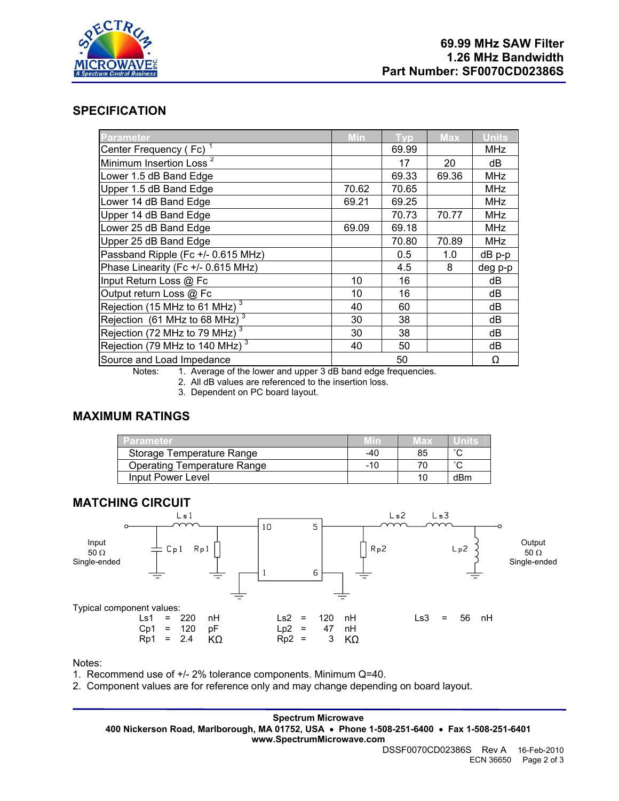

### **SPECIFICATION**

| Parameter                                  | Min   | Tvp   | Max   | <b>Units</b> |
|--------------------------------------------|-------|-------|-------|--------------|
| Center Frequency (Fc) <sup>1</sup>         |       | 69.99 |       | <b>MHz</b>   |
| Minimum Insertion Loss <sup>2</sup>        |       | 17    | 20    | dB           |
| Lower 1.5 dB Band Edge                     |       | 69.33 | 69.36 | <b>MHz</b>   |
| Upper 1.5 dB Band Edge                     | 70.62 | 70.65 |       | <b>MHz</b>   |
| Lower 14 dB Band Edge                      | 69.21 | 69.25 |       | <b>MHz</b>   |
| Upper 14 dB Band Edge                      |       | 70.73 | 70.77 | <b>MHz</b>   |
| Lower 25 dB Band Edge                      | 69.09 | 69.18 |       | <b>MHz</b>   |
| Upper 25 dB Band Edge                      |       | 70.80 | 70.89 | <b>MHz</b>   |
| Passband Ripple (Fc +/- 0.615 MHz)         |       | 0.5   | 1.0   | dB p-p       |
| Phase Linearity (Fc +/- 0.615 MHz)         |       | 4.5   | 8     | deg p-p      |
| Input Return Loss @ Fc                     | 10    | 16    |       | dB           |
| Output return Loss @ Fc                    | 10    | 16    |       | dB           |
| Rejection (15 MHz to 61 MHz) <sup>3</sup>  | 40    | 60    |       | dB           |
| Rejection (61 MHz to 68 MHz) $3$           | 30    | 38    |       | dB           |
| Rejection (72 MHz to 79 MHz) <sup>3</sup>  | 30    | 38    |       | dB           |
| Rejection (79 MHz to 140 MHz) <sup>3</sup> | 40    | 50    |       | dB           |
| Source and Load Impedance                  |       | 50    |       | Ω            |

Notes: 1. Average of the lower and upper 3 dB band edge frequencies.

2. All dB values are referenced to the insertion loss.

3. Dependent on PC board layout.

## **MAXIMUM RATINGS**

| <b>LParameter</b>                  | <u>Mm</u> | Max |        |
|------------------------------------|-----------|-----|--------|
| Storage Temperature Range          | -40       | 85  | $\sim$ |
| <b>Operating Temperature Range</b> | -10       |     | $\sim$ |
| Input Power Level                  |           | 10. | dBm    |



Notes:

1. Recommend use of +/- 2% tolerance components. Minimum Q=40.

2. Component values are for reference only and may change depending on board layout.

**Spectrum Microwave 400 Nickerson Road, Marlborough, MA 01752, USA** • **Phone 1-508-251-6400** • **Fax 1-508-251-6401 www.SpectrumMicrowave.com**